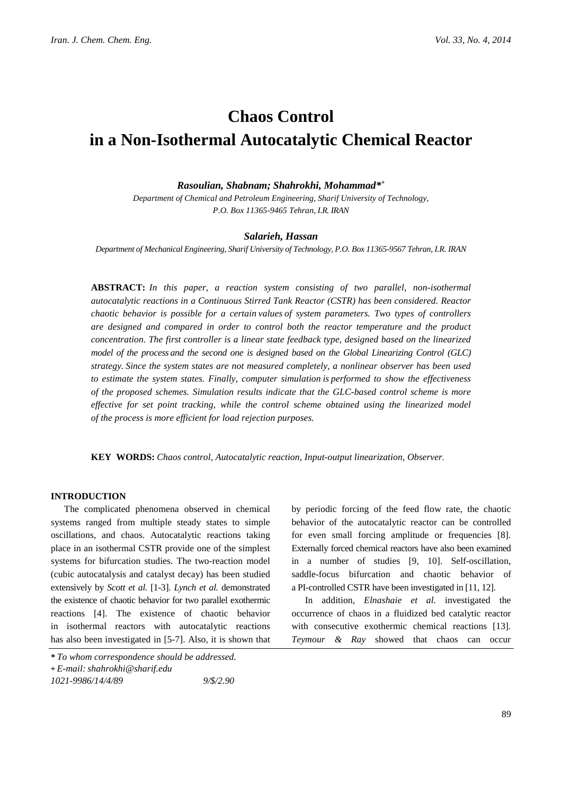# **Chaos Control in a Non-Isothermal Autocatalytic Chemical Reactor**

#### *Rasoulian, Shabnam; Shahrokhi, Mohammad\*+*

*Department of Chemical and Petroleum Engineering, Sharif University of Technology, P.O. Box 11365-9465 Tehran, I.R. IRAN*

#### *Salarieh, Hassan*

*Department of Mechanical Engineering, Sharif University of Technology, P.O. Box 11365-9567 Tehran, I.R. IRAN*

**ABSTRACT:** *In this paper, a reaction system consisting of two parallel, non-isothermal autocatalytic reactions in a Continuous Stirred Tank Reactor (CSTR) has been considered. Reactor chaotic behavior is possible for a certain values of system parameters. Two types of controllers are designed and compared in order to control both the reactor temperature and the product concentration. The first controller is a linear state feedback type, designed based on the linearized model of the process and the second one is designed based on the Global Linearizing Control (GLC) strategy. Since the system states are not measured completely, a nonlinear observer has been used to estimate the system states. Finally, computer simulation is performed to show the effectiveness of the proposed schemes. Simulation results indicate that the GLC-based control scheme is more effective for set point tracking, while the control scheme obtained using the linearized model of the process is more efficient for load rejection purposes.*

**KEY WORDS:** *Chaos control, Autocatalytic reaction, Input-output linearization, Observer.*

# **INTRODUCTION**

The complicated phenomena observed in chemical systems ranged from multiple steady states to simple oscillations, and chaos. Autocatalytic reactions taking place in an isothermal CSTR provide one of the simplest systems for bifurcation studies. The two-reaction model (cubic autocatalysis and catalyst decay) has been studied extensively by *Scott et al.* [1-3]. *Lynch et al.* demonstrated the existence of chaotic behavior for two parallel exothermic reactions [4]. The existence of chaotic behavior in isothermal reactors with autocatalytic reactions has also been investigated in [5-7]. Also, it is shown that

by periodic forcing of the feed flow rate, the chaotic behavior of the autocatalytic reactor can be controlled for even small forcing amplitude or frequencies [8]. Externally forced chemical reactors have also been examined in a number of studies [9, 10]. Self-oscillation, saddle-focus bifurcation and chaotic behavior of a PI-controlled CSTR have been investigated in [11, 12].

In addition, *Elnashaie et al.* investigated the occurrence of chaos in a fluidized bed catalytic reactor with consecutive exothermic chemical reactions [13]. *Teymour & Ray* showed that chaos can occur

*<sup>\*</sup> To whom correspondence should be addressed.*

**<sup>+</sup>** *E-mail: shahrokhi@sharif.edu*

*<sup>1021-9986/14/4/89 9/\$/2.90</sup>*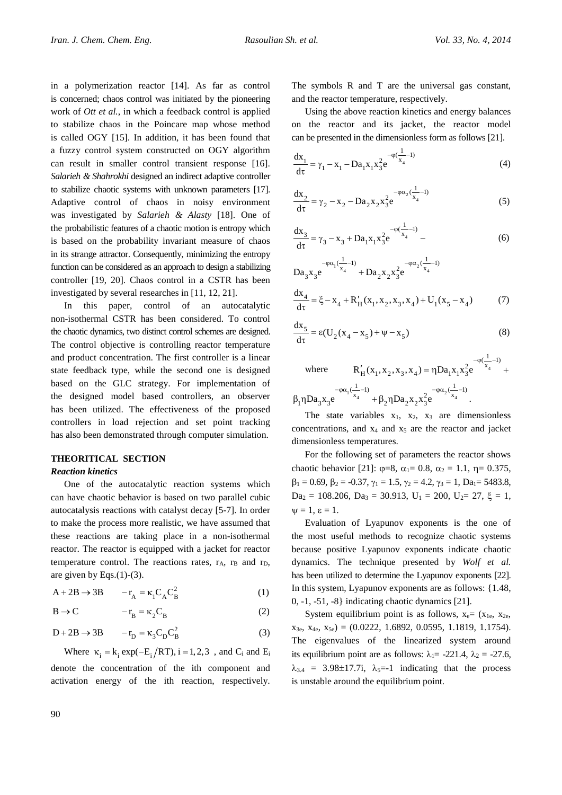in a polymerization reactor [14]. As far as control is concerned; chaos control was initiated by the pioneering work of *Ott et al.*, in which a feedback control is applied to stabilize chaos in the Poincare map whose method is called OGY [15]. In addition, it has been found that a fuzzy control system constructed on OGY algorithm can result in smaller control transient response [16]. *Salarieh & Shahrokhi* designed an indirect adaptive controller to stabilize chaotic systems with unknown parameters [17]. Adaptive control of chaos in noisy environment was investigated by *Salarieh & Alasty* [18]. One of the probabilistic features of a chaotic motion is entropy which is based on the probability invariant measure of chaos in its strange attractor. Consequently, minimizing the entropy function can be considered as an approach to design a stabilizing controller [19, 20]. Chaos control in a CSTR has been investigated by several researches in [11, 12, 21].

In this paper, control of an autocatalytic non-isothermal CSTR has been considered. To control the chaotic dynamics, two distinct control schemes are designed. The control objective is controlling reactor temperature and product concentration. The first controller is a linear state feedback type, while the second one is designed based on the GLC strategy. For implementation of the designed model based controllers, an observer has been utilized. The effectiveness of the proposed controllers in load rejection and set point tracking has also been demonstrated through computer simulation.

# **THEORITICAL SECTION**

# *Reaction kinetics*

One of the autocatalytic reaction systems which can have chaotic behavior is based on two parallel cubic autocatalysis reactions with catalyst decay [5-7]. In order to make the process more realistic, we have assumed that these reactions are taking place in a non-isothermal reactor. The reactor is equipped with a jacket for reactor temperature control. The reactions rates,  $r_A$ ,  $r_B$  and  $r_D$ , are given by Eqs. $(1)-(3)$ .

$$
A + 2B \rightarrow 3B \qquad -r_A = \kappa_1 C_A C_B^2 \tag{1}
$$

$$
B \to C \qquad \qquad -r_B = \kappa_2 C_B \tag{2}
$$

$$
D + 2B \rightarrow 3B \qquad -r_D = \kappa_3 C_D C_B^2 \tag{3}
$$

Where  $\kappa_i = k_i \exp(-E_i/RT)$ , i = 1, 2, 3, and C<sub>i</sub> and E<sub>i</sub> denote the concentration of the ith component and activation energy of the ith reaction, respectively. The symbols R and T are the universal gas constant, and the reactor temperature, respectively.

Using the above reaction kinetics and energy balances on the reactor and its jacket, the reactor model can be presented in the dimensionless form as follows [21].

$$
\frac{dx_1}{d\tau} = \gamma_1 - x_1 - Da_1 x_1 x_3^2 e^{-\varphi(\frac{1}{x_4} - 1)}
$$
(4)

$$
\frac{dx_2}{d\tau} = \gamma_2 - x_2 - Da_2 x_2 x_3^2 e^{-\varphi \alpha_2 (\frac{1}{x_4} - 1)}
$$
(5)

$$
\frac{dx_3}{d\tau} = \gamma_3 - x_3 + Da_1 x_1 x_3^2 e^{-\varphi(\frac{1}{x_4} - 1)} -
$$
 (6)

 $Da_3x_3e^{-\varphi\alpha_1(\frac{1}{x_4}-1)} + Da_2x_2x_3^2e^{-\varphi\alpha_2(\frac{1}{x_4}-1)}$ +

$$
\frac{dx_4}{d\tau} = \xi - x_4 + R_H'(x_1, x_2, x_3, x_4) + U_1(x_5 - x_4)
$$
 (7)

$$
\frac{dx_5}{d\tau} = \varepsilon (U_2(x_4 - x_5) + \psi - x_5)
$$
\n(8)

where  $R'_{H}(x_1, x_2, x_3, x_4) = \eta D a_1 x_1 x_3^2 e^{-x_4}$  $R'_{H}(x_1, x_2, x_3, x_4) = \eta Da_1 x_1 x_3^2 e^{-\varphi(\frac{1}{x_4}-1)}$  $\int_{H}(x_{1},x_{2},x_{3},x_{4})=\eta Da_{1}x_{1}x_{2}^{2}e^{-\varphi(\frac{1}{x_{4}}-1)}+$  $x_1 \cdot \frac{1}{x_4} - 1$ <br>+ R nDa x  $x^2 e^{-\varphi \alpha_2 (\frac{1}{x_4} - 1)}$  $B_1$ η $Da_3x_3e$   $A_4 + \beta_2$ η $Da_2x_2x_3e$  $-\varphi\alpha_1(\frac{1}{\cdots}-1)$   $-\varphi\alpha_2(\frac{1}{\cdots}-1)$  $\beta_1 \eta D a_3 x_3 e^{x_4} + \beta_2 \eta D a_2 x_2 x_3^2 e^{x_4}$ .

The state variables  $x_1$ ,  $x_2$ ,  $x_3$  are dimensionless concentrations, and  $x_4$  and  $x_5$  are the reactor and jacket dimensionless temperatures.

For the following set of parameters the reactor shows chaotic behavior [21]:  $\varphi = 8$ ,  $\alpha_1 = 0.8$ ,  $\alpha_2 = 1.1$ ,  $\eta = 0.375$ ,  $\beta_1 = 0.69$ ,  $\beta_2 = -0.37$ ,  $\gamma_1 = 1.5$ ,  $\gamma_2 = 4.2$ ,  $\gamma_3 = 1$ ,  $Da_1 = 5483.8$ ,  $Da_2 = 108.206$ ,  $Da_3 = 30.913$ ,  $U_1 = 200$ ,  $U_2 = 27$ ,  $\xi = 1$ ,  $\Psi = 1, \varepsilon = 1.$ 

Evaluation of Lyapunov exponents is the one of the most useful methods to recognize chaotic systems because positive Lyapunov exponents indicate chaotic dynamics. The technique presented by *Wolf et al.* has been utilized to determine the Lyapunov exponents [22]. In this system, Lyapunov exponents are as follows: {1.48, 0, -1, -51, -8} indicating chaotic dynamics [21].

System equilibrium point is as follows,  $x_e = (x_{1e}, x_{2e},$  $x_{3e}$ ,  $x_{4e}$ ,  $x_{5e}$ ) = (0.0222, 1.6892, 0.0595, 1.1819, 1.1754). The eigenvalues of the linearized system around its equilibrium point are as follows:  $\lambda_1 = -221.4$ ,  $\lambda_2 = -27.6$ ,  $\lambda_{3,4}$  = 3.98±17.7i,  $\lambda_{5}=1$  indicating that the process is unstable around the equilibrium point.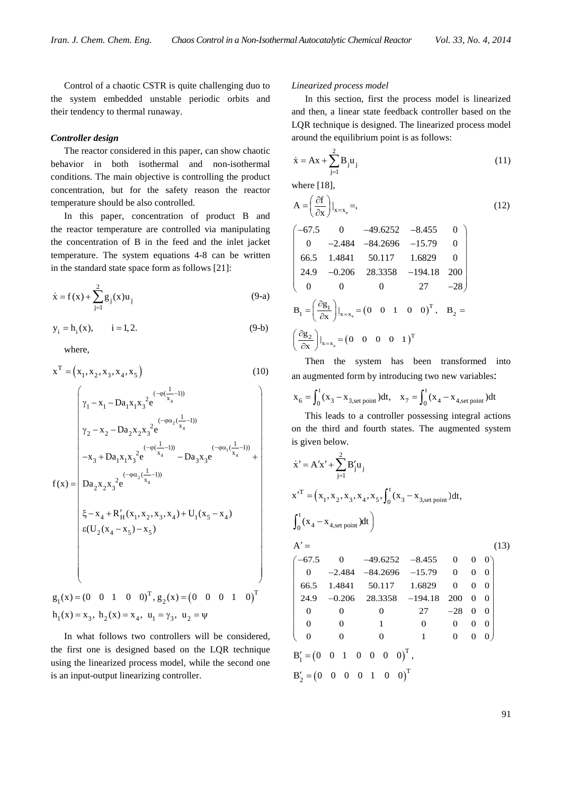Control of a chaotic CSTR is quite challenging duo to the system embedded unstable periodic orbits and their tendency to thermal runaway.

#### *Controller design*

The reactor considered in this paper, can show chaotic behavior in both isothermal and non-isothermal conditions. The main objective is controlling the product concentration, but for the safety reason the reactor temperature should be also controlled.

In this paper, concentration of product B and the reactor temperature are controlled via manipulating the concentration of B in the feed and the inlet jacket temperature. The system equations 4-8 can be written in the standard state space form as follows [21]:

$$
\dot{x} = f(x) + \sum_{j=1}^{2} g_j(x) u_j
$$
 (9-a)

$$
y_i = h_i(x), \t i = 1, 2.
$$
 (9-b)

where,

$$
x^{T} = (x_{1}, x_{2}, x_{3}, x_{4}, x_{5})
$$
\n(10)  
\n
$$
\gamma_{1} - x_{1} - Da_{1}x_{1}x_{3}^{2}e^{(-\varphi(\frac{1}{x_{4}}-1))}
$$
\n
$$
\gamma_{2} - x_{2} - Da_{2}x_{2}x_{3}^{2}e^{(-\varphi(\frac{1}{x_{4}}-1))}
$$
\n
$$
-x_{3} + Da_{1}x_{1}x_{3}^{2}e^{(-\varphi(\frac{1}{x_{4}}-1))} - Da_{3}x_{3}e^{(-\varphi(\frac{1}{x_{4}}-1))}
$$
\n
$$
f(x) = \begin{vmatrix}\n-x_{3} + Da_{1}x_{1}x_{3}^{2}e^{(-\varphi(\frac{1}{x_{4}}-1))} - Da_{3}x_{3}e^{(-\varphi(\frac{1}{x_{4}}-1))} \\
Da_{2}x_{2}x_{3}^{2}e^{(-\varphi(\frac{1}{x_{4}}-1))} \\
\vdots \\
\delta_{x} - x_{4} + R'_{H}(x_{1}, x_{2}, x_{3}, x_{4}) + U_{1}(x_{5} - x_{4}) \\
\vdots \\
\delta(U_{2}(x_{4} - x_{5}) - x_{5})\n\end{vmatrix}
$$
\n
$$
g_{1}(x) = (0 \quad 0 \quad 1 \quad 0 \quad 0)^{T}, g_{2}(x) = (0 \quad 0 \quad 0 \quad 1 \quad 0)^{T}
$$
\n
$$
h_{1}(x) = x_{3}, h_{2}(x) = x_{4}, u_{1} = \gamma_{3}, u_{2} = \psi
$$
\n(10)  
\n(11)  
\n(12)  
\n(13)  
\n(14)  
\n(15)  
\n(16)  
\n(17)  
\n(18)  
\n(19)  
\n(10)  
\n(10)  
\n(11)  
\n(12)  
\n(19)  
\n(10)  
\n(11)  
\n(12)  
\n(10)  
\n(11)  
\n(12)  
\n(13)  
\n(14)  
\n(16)  
\n(19)  
\n(10)  
\n(11)  
\n(12)  
\n(13)  
\n(14)  
\n(15)  
\n

In what follows two controllers will be considered, the first one is designed based on the LQR technique using the linearized process model, while the second one is an input-output linearizing controller.

#### *Linearized process model*

In this section, first the process model is linearized and then, a linear state feedback controller based on the LQR technique is designed. The linearized process model around the equilibrium point is as follows:

$$
\dot{x} = Ax + \sum_{j=1}^{2} B_j u_j
$$
 (11)

where [18],

$$
A = \left(\frac{\partial f}{\partial x}\right)|_{x = x_e} =,
$$
\n(12)

$$
\begin{pmatrix}\n-67.5 & 0 & -49.6252 & -8.455 & 0 \\
0 & -2.484 & -84.2696 & -15.79 & 0 \\
66.5 & 1.4841 & 50.117 & 1.6829 & 0 \\
24.9 & -0.206 & 28.3358 & -194.18 & 200 \\
0 & 0 & 0 & 27 & -28\n\end{pmatrix}
$$
\n
$$
B_1 = \left(\frac{\partial g_1}{\partial x}\right)|_{x=x_e} = (0 \quad 0 \quad 1 \quad 0 \quad 0)^T, B_2 = \left(\frac{\partial g_2}{\partial x}\right)|_{x=x_e} = (0 \quad 0 \quad 0 \quad 0 \quad 1)^T
$$

Then the system has been transformed into an augmented form by introducing two new variables:

$$
x_6 = \int_0^t (x_3 - x_{3,\text{set point}}) dt
$$
,  $x_7 = \int_0^t (x_4 - x_{4,\text{set point}}) dt$ 

This leads to a controller possessing integral actions on the third and fourth states. The augmented system is given below.

$$
\dot{x}' = A'x' + \sum_{j=1}^{2} B'_{j}u_{j}
$$
\n
$$
x'^{T} = (x_{1}, x_{2}, x_{3}, x_{4}, x_{5}, \int_{0}^{t} (x_{3} - x_{3,set point})dt,
$$
\n
$$
\int_{0}^{t} (x_{4} - x_{4,set point})dt
$$
\n
$$
A' = \qquad (13)
$$
\n
$$
\begin{pmatrix}\n-67.5 & 0 & -49.6252 & -8.455 & 0 & 0 & 0 \\
0 & -2.484 & -84.2696 & -15.79 & 0 & 0 & 0 \\
66.5 & 1.4841 & 50.117 & 1.6829 & 0 & 0 & 0 \\
24.9 & -0.206 & 28.3358 & -194.18 & 200 & 0 & 0 \\
0 & 0 & 0 & 27 & -28 & 0 & 0 \\
0 & 0 & 0 & 1 & 0 & 0 & 0 \\
0 & 0 & 0 & 1 & 0 & 0 & 0\n\end{pmatrix}
$$
\n
$$
B'_{1} = (0 \quad 0 \quad 1 \quad 0 \quad 0 \quad 0 \quad 0)^{T},
$$
\n
$$
B'_{2} = (0 \quad 0 \quad 0 \quad 0 \quad 1 \quad 0 \quad 0)^{T}
$$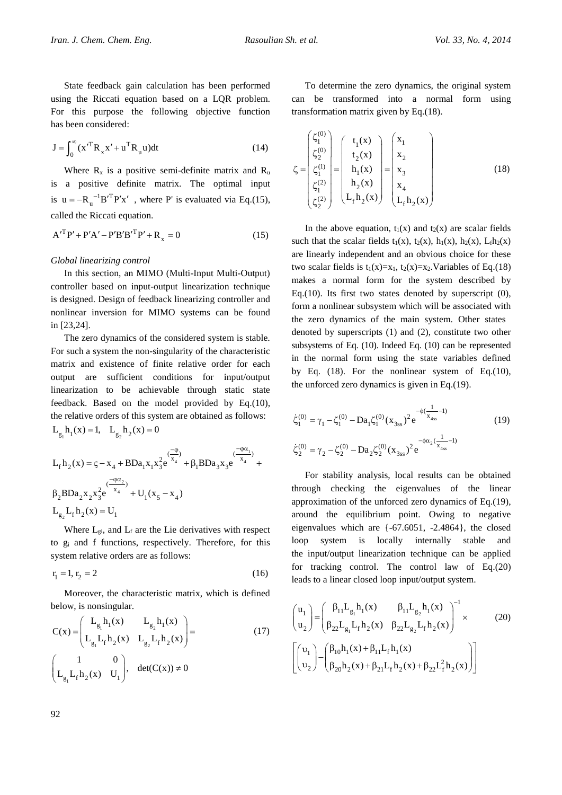State feedback gain calculation has been performed using the Riccati equation based on a LQR problem. For this purpose the following objective function has been considered:

$$
\mathbf{J} = \int_0^\infty (\mathbf{x'}^{\mathrm{T}} \mathbf{R}_{\mathbf{x}} \mathbf{x'} + \mathbf{u}^{\mathrm{T}} \mathbf{R}_{\mathbf{u}} \mathbf{u}) \mathrm{d}t \tag{14}
$$

Where  $R_x$  is a positive semi-definite matrix and  $R_u$ is a positive definite matrix. The optimal input is  $u = -R_u^{-1}B^{\prime T}P^{\prime}x^{\prime}$ , where P' is evaluated via Eq.(15), called the Riccati equation.

$$
A'^{T}P' + P'A' - P'B'B'^{T}P' + R_{x} = 0
$$
\n(15)

## *Global linearizing control*

In this section, an MIMO (Multi-Input Multi-Output) controller based on input-output linearization technique is designed. Design of feedback linearizing controller and nonlinear inversion for MIMO systems can be found in [23,24].

The zero dynamics of the considered system is stable. For such a system the non-singularity of the characteristic matrix and existence of finite relative order for each output are sufficient conditions for input/output linearization to be achievable through static state feedback. Based on the model provided by Eq.(10), the relative orders of this system are obtained as follows:  $L_{g_1} h_1(x) = 1$ ,  $L_{g_2} h_2(x) = 0$ 

$$
L_{f}h_{2}(x) = \zeta - x_{4} + BDa_{1}x_{1}x_{3}^{2}e^{\frac{(-\phi)}{x_{4}}} + \beta_{1}BDa_{3}x_{3}e^{\frac{(-\phi\alpha_{1})}{x_{4}}} + \beta_{2}BDa_{2}x_{2}x_{3}^{2}e^{\frac{(-\phi\alpha_{2})}{x_{4}}} + U_{1}(x_{5} - x_{4})
$$
  

$$
L_{g_{2}}L_{f}h_{2}(x) = U_{1}
$$

Where  $L_{gi}$ , and  $L_f$  are the Lie derivatives with respect to gi and f functions, respectively. Therefore, for this system relative orders are as follows:

$$
r_1 = 1, r_2 = 2 \tag{16}
$$

Moreover, the characteristic matrix, which is defined below, is nonsingular.

$$
C(x) = \begin{pmatrix} L_{g_1}h_1(x) & L_{g_2}h_1(x) \\ L_{g_1}L_fh_2(x) & L_{g_2}L_fh_2(x) \end{pmatrix} = (17)
$$
  

$$
\begin{pmatrix} 1 & 0 \\ L_{g_1}L_fh_2(x) & U_1 \end{pmatrix}, \quad \det(C(x)) \neq 0
$$

To determine the zero dynamics, the original system can be transformed into a normal form using transformation matrix given by Eq.(18).

$$
\zeta = \begin{pmatrix} \zeta_1^{(0)} \\ \zeta_2^{(0)} \\ \zeta_1^{(1)} \\ \zeta_1^{(2)} \\ \zeta_2^{(2)} \end{pmatrix} = \begin{pmatrix} t_1(x) \\ t_2(x) \\ h_1(x) \\ h_2(x) \\ \zeta_2(x) \end{pmatrix} = \begin{pmatrix} x_1 \\ x_2 \\ x_3 \\ x_4 \\ L_f h_2(x) \end{pmatrix}
$$
(18)

In the above equation,  $t_1(x)$  and  $t_2(x)$  are scalar fields such that the scalar fields  $t_1(x)$ ,  $t_2(x)$ ,  $h_1(x)$ ,  $h_2(x)$ ,  $L_f h_2(x)$ are linearly independent and an obvious choice for these two scalar fields is  $t_1(x)=x_1$ ,  $t_2(x)=x_2$ . Variables of Eq.(18) makes a normal form for the system described by Eq.(10). Its first two states denoted by superscript  $(0)$ , form a nonlinear subsystem which will be associated with the zero dynamics of the main system. Other states denoted by superscripts (1) and (2), constitute two other subsystems of Eq. (10). Indeed Eq. (10) can be represented in the normal form using the state variables defined by Eq. (18). For the nonlinear system of Eq.(10), the unforced zero dynamics is given in Eq.(19).

$$
\dot{\zeta}_1^{(0)} = \gamma_1 - \zeta_1^{(0)} - Da_1 \zeta_1^{(0)} (x_{3ss})^2 e^{-\phi(\frac{1}{x_{4ss}}-1)}
$$
\n
$$
\dot{\zeta}_2^{(0)} = \gamma_2 - \zeta_2^{(0)} - Da_2 \zeta_2^{(0)} (x_{3ss})^2 e^{-\phi\alpha_2(\frac{1}{x_{4ss}}-1)}
$$
\n(19)

For stability analysis, local results can be obtained through checking the eigenvalues of the linear approximation of the unforced zero dynamics of Eq.(19), around the equilibrium point. Owing to negative eigenvalues which are {-67.6051, -2.4864}, the closed loop system is locally internally stable and the input/output linearization technique can be applied for tracking control. The control law of Eq.(20) leads to a linear closed loop input/output system.

$$
\begin{pmatrix}\n\mathbf{u}_{1} \\
\mathbf{u}_{2}\n\end{pmatrix} = \begin{pmatrix}\n\beta_{11}L_{g_{1}}h_{1}(x) & \beta_{11}L_{g_{2}}h_{1}(x) \\
\beta_{22}L_{g_{1}}L_{f}h_{2}(x) & \beta_{22}L_{g_{2}}L_{f}h_{2}(x)\n\end{pmatrix}^{-1} \times (20)
$$
\n
$$
\begin{bmatrix}\n\mathbf{u}_{1} \\
\mathbf{v}_{2}\n\end{bmatrix} - \begin{pmatrix}\n\beta_{10}h_{1}(x) + \beta_{11}L_{f}h_{1}(x) \\
\beta_{20}h_{2}(x) + \beta_{21}L_{f}h_{2}(x) + \beta_{22}L_{f}^{2}h_{2}(x)\n\end{bmatrix}
$$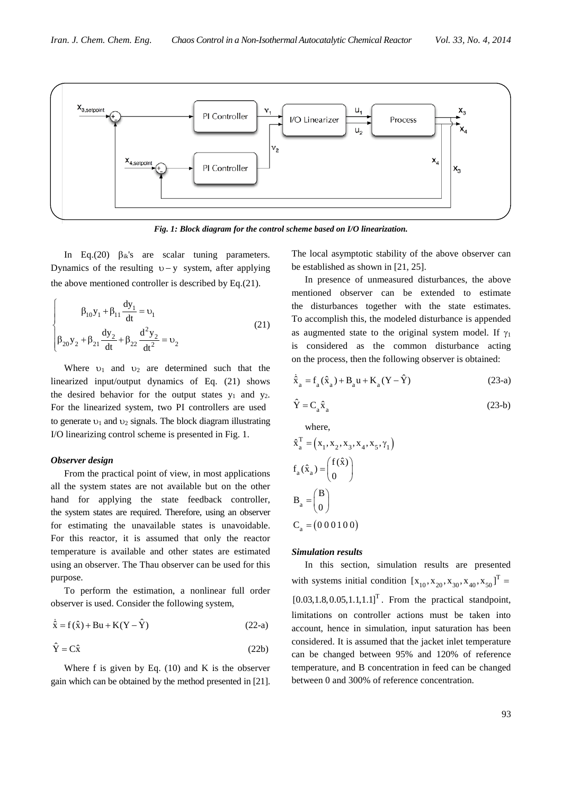

*Fig. 1: Block diagram for the control scheme based on I/O linearization.*

In Eq.(20)  $\beta_{ik}$ 's are scalar tuning parameters. Dynamics of the resulting  $v - y$  system, after applying the above mentioned controller is described by Eq.(21).

$$
\beta_{10}y_1 + \beta_{11}\frac{dy_1}{dt} = v_1
$$
\n
$$
\beta_{20}y_2 + \beta_{21}\frac{dy_2}{dt} + \beta_{22}\frac{d^2y_2}{dt^2} = v_2
$$
\n(21)

Where  $v_1$  and  $v_2$  are determined such that the linearized input/output dynamics of Eq. (21) shows the desired behavior for the output states  $y_1$  and  $y_2$ . For the linearized system, two PI controllers are used to generate  $v_1$  and  $v_2$  signals. The block diagram illustrating I/O linearizing control scheme is presented in Fig. 1.

#### *Observer design*

From the practical point of view, in most applications all the system states are not available but on the other hand for applying the state feedback controller, the system states are required. Therefore, using an observer for estimating the unavailable states is unavoidable. For this reactor, it is assumed that only the reactor temperature is available and other states are estimated using an observer. The Thau observer can be used for this purpose.

To perform the estimation, a nonlinear full order observer is used. Consider the following system,

$$
\dot{\hat{x}} = f(\hat{x}) + Bu + K(Y - \hat{Y})
$$
\n(22-a)

$$
\hat{Y} = C\hat{x}
$$
 (22b)

Where f is given by Eq.  $(10)$  and K is the observer gain which can be obtained by the method presented in [21]. The local asymptotic stability of the above observer can be established as shown in [21, 25].

In presence of unmeasured disturbances, the above mentioned observer can be extended to estimate the disturbances together with the state estimates. To accomplish this, the modeled disturbance is appended as augmented state to the original system model. If  $\gamma_1$ is considered as the common disturbance acting on the process, then the following observer is obtained:

$$
\dot{\hat{X}}_{a} = f_{a}(\hat{X}_{a}) + B_{a}u + K_{a}(Y - \hat{Y})
$$
\n(23-a)

 $\hat{Y} = C_a \hat{x}_a$  (23-b)

where,

$$
\hat{x}_a^T = (x_1, x_2, x_3, x_4, x_5, \gamma_1)
$$
  
\n
$$
f_a(\hat{x}_a) = \begin{pmatrix} f(\hat{x}) \\ 0 \end{pmatrix}
$$
  
\n
$$
B_a = \begin{pmatrix} B \\ 0 \end{pmatrix}
$$
  
\n
$$
C_a = (000100)
$$

# *Simulation results*

In this section, simulation results are presented with systems initial condition  $[x_{10}, x_{20}, x_{30}, x_{40}, x_{50}]^{T} =$  $[0.03, 1.8, 0.05, 1.1, 1.1]$ <sup>T</sup>. From the practical standpoint, limitations on controller actions must be taken into account, hence in simulation, input saturation has been considered. It is assumed that the jacket inlet temperature can be changed between 95% and 120% of reference temperature, and B concentration in feed can be changed between 0 and 300% of reference concentration.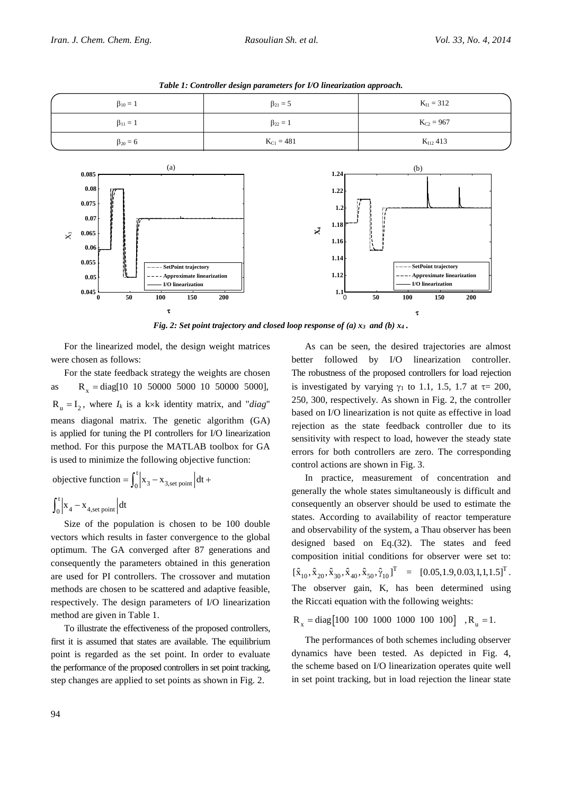

*Table 1: Controller design parameters for I/O linearization approach.*

*Fig. 2: Set point trajectory and closed loop response of (a) x3 and (b) x4 .*

For the linearized model, the design weight matrices were chosen as follows:

For the state feedback strategy the weights are chosen as  $R_y = diag[10 \ 10 \ 50000 \ 5000 \ 10 \ 50000 \ 5000]$ ,  $R_n = I_2$ , where  $I_k$  is a k×k identity matrix, and "*diag*" means diagonal matrix. The genetic algorithm (GA) is applied for tuning the PI controllers for I/O linearization method. For this purpose the MATLAB toolbox for GA is used to minimize the following objective function:

objective function = 
$$
\int_0^t \left| x_3 - x_{3,\text{set point}} \right| dt +
$$
  
 $\int_0^t \left| x_4 - x_{4,\text{set point}} \right| dt$ 

Size of the population is chosen to be 100 double vectors which results in faster convergence to the global optimum. The GA converged after 87 generations and consequently the parameters obtained in this generation are used for PI controllers. The crossover and mutation methods are chosen to be scattered and adaptive feasible, respectively. The design parameters of I/O linearization method are given in Table 1.

To illustrate the effectiveness of the proposed controllers, first it is assumed that states are available. The equilibrium point is regarded as the set point. In order to evaluate the performance of the proposed controllers in set point tracking, step changes are applied to set points as shown in Fig. 2.

As can be seen, the desired trajectories are almost better followed by I/O linearization controller. The robustness of the proposed controllers for load rejection is investigated by varying  $\gamma_1$  to 1.1, 1.5, 1.7 at  $\tau$  = 200, 250, 300, respectively. As shown in Fig. 2, the controller based on I/O linearization is not quite as effective in load rejection as the state feedback controller due to its sensitivity with respect to load, however the steady state errors for both controllers are zero. The corresponding control actions are shown in Fig. 3.

In practice, measurement of concentration and generally the whole states simultaneously is difficult and consequently an observer should be used to estimate the states. According to availability of reactor temperature and observability of the system, a Thau observer has been designed based on Eq.(32). The states and feed composition initial conditions for observer were set to:  $\begin{bmatrix} \hat{x}_{10}, \hat{x}_{20}, \hat{x}_{30}, \hat{x}_{40}, \hat{x}_{50}, \hat{\gamma}_{10} \end{bmatrix}^T = [0.05, 1.9, 0.03, 1, 1, 1.5]^T.$ The observer gain, K, has been determined using the Riccati equation with the following weights:

 $R_v = diag[100 100 1000 1000 100 100]$ ,  $R_u = 1$ .

The performances of both schemes including observer dynamics have been tested. As depicted in Fig. 4, the scheme based on I/O linearization operates quite well in set point tracking, but in load rejection the linear state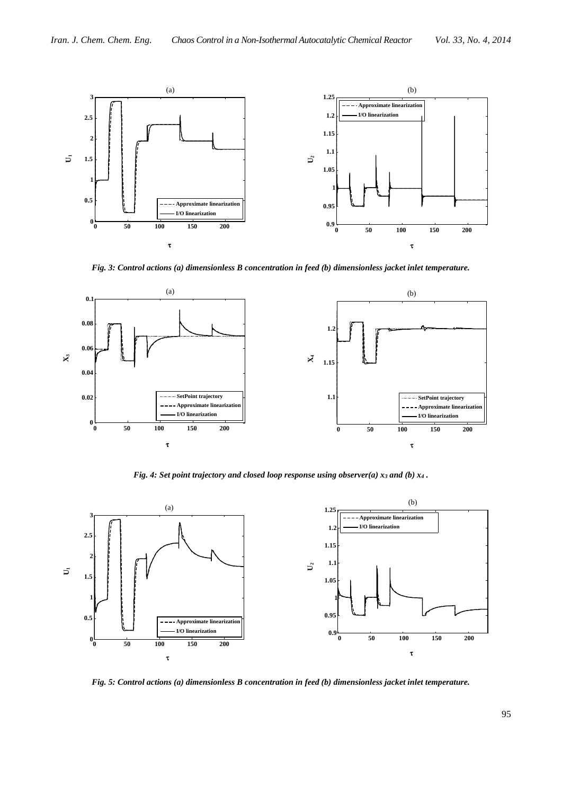

*Fig. 3: Control actions (a) dimensionless B concentration in feed (b) dimensionless jacket inlet temperature.*



*Fig. 4: Set point trajectory and closed loop response using observer(a) x3 and (b) x4 .*



*Fig. 5: Control actions (a) dimensionless B concentration in feed (b) dimensionless jacket inlet temperature.*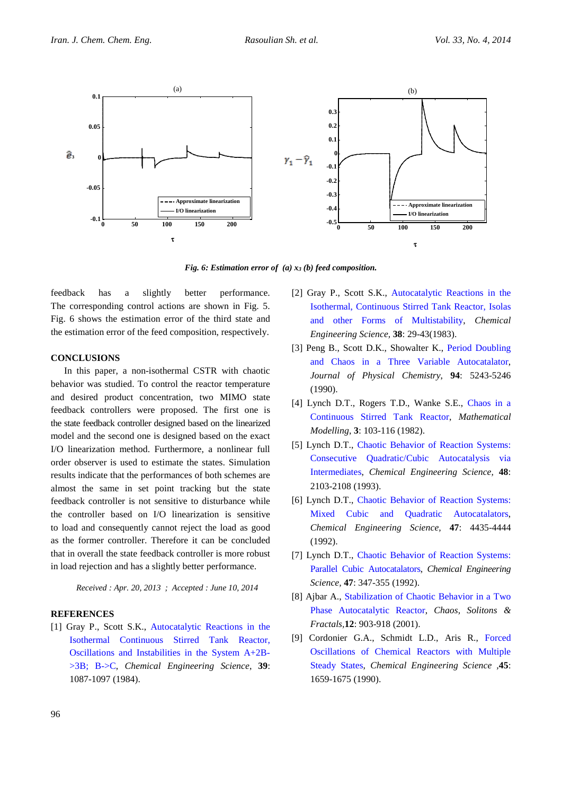

*Fig. 6: Estimation error of (a) x3 (b) feed composition.*

feedback has a slightly better performance. The corresponding control actions are shown in Fig. 5. Fig. 6 shows the estimation error of the third state and the estimation error of the feed composition, respectively.

# **CONCLUSIONS**

In this paper, a non-isothermal CSTR with chaotic behavior was studied. To control the reactor temperature and desired product concentration, two MIMO state feedback controllers were proposed. The first one is the state feedback controller designed based on the linearized model and the second one is designed based on the exact I/O linearization method. Furthermore, a nonlinear full order observer is used to estimate the states. Simulation results indicate that the performances of both schemes are almost the same in set point tracking but the state feedback controller is not sensitive to disturbance while the controller based on I/O linearization is sensitive to load and consequently cannot reject the load as good as the former controller. Therefore it can be concluded that in overall the state feedback controller is more robust in load rejection and has a slightly better performance.

*Received : Apr. 20, 2013 ; Accepted : June 10, 2014*

#### **REFERENCES**

[1] Gray P., Scott S.K., [Autocatalytic Reactions in the](http://www.sciencedirect.com/science/article/pii/0009250984870177)  [Isothermal Continuous Stirred Tank Reactor,](http://www.sciencedirect.com/science/article/pii/0009250984870177)  [Oscillations and Instabilities in the System A+2B-](http://www.sciencedirect.com/science/article/pii/0009250984870177) [>3B; B->C,](http://www.sciencedirect.com/science/article/pii/0009250984870177) *Chemical Engineering Science*, **39**: 1087-1097 (1984).

- [2] Gray P., Scott S.K., [Autocatalytic Reactions in the](http://www.sciencedirect.com/science/article/pii/0009250983801328)  [Isothermal, Continuous Stirred Tank Reactor, Isolas](http://www.sciencedirect.com/science/article/pii/0009250983801328)  [and other Forms of Multistability,](http://www.sciencedirect.com/science/article/pii/0009250983801328) *Chemical Engineering Science,* **38**: 29-43(1983).
- [3] Peng B., Scott D.K., Showalter K., [Period Doubling](http://pubs.acs.org/doi/abs/10.1021/j100376a014)  [and Chaos in a Three Variable Autocatalator,](http://pubs.acs.org/doi/abs/10.1021/j100376a014) *Journal of Physical Chemistry*, **94**: 5243-5246 (1990).
- [4] Lynch D.T., Rogers T.D., Wanke S.E., [Chaos in a](http://www.sciencedirect.com/science/article/pii/0270025582900161)  [Continuous Stirred Tank Reactor,](http://www.sciencedirect.com/science/article/pii/0270025582900161) *Mathematical Modelling*, **3**: 103-116 (1982).
- [5] Lynch D.T., [Chaotic Behavior of Reaction Systems:](http://www.sciencedirect.com/science/article/pii/0009250993800855)  [Consecutive Quadratic/Cubic Autocatalysis via](http://www.sciencedirect.com/science/article/pii/0009250993800855)  [Intermediates,](http://www.sciencedirect.com/science/article/pii/0009250993800855) *Chemical Engineering Science,* **48**: 2103-2108 (1993).
- [6] Lynch D.T., [Chaotic Behavior of Reaction Systems:](http://www.sciencedirect.com/science/article/pii/000925099285121Q)  [Mixed Cubic and Quadratic Autocatalators,](http://www.sciencedirect.com/science/article/pii/000925099285121Q) *Chemical Engineering Science,* **47**: 4435-4444 (1992).
- [7] Lynch D.T., [Chaotic Behavior of Reaction Systems:](http://www.sciencedirect.com/science/article/pii/0009250992800258)  [Parallel Cubic Autocatalators,](http://www.sciencedirect.com/science/article/pii/0009250992800258) *Chemical Engineering Science,* **47**: 347-355 (1992).
- [8] Ajbar A., [Stabilization of Chaotic Behavior in a Two](http://www.sciencedirect.com/science/article/pii/S0960077900000540)  [Phase Autocatalytic Reactor,](http://www.sciencedirect.com/science/article/pii/S0960077900000540) *Chaos, Solitons & Fractals,***12**: 903-918 (2001).
- [9] Cordonier G.A., Schmidt L.D., Aris R., [Forced](http://www.sciencedirect.com/science/article/pii/000925099087045T)  [Oscillations of Chemical Reactors with Multiple](http://www.sciencedirect.com/science/article/pii/000925099087045T)  [Steady States,](http://www.sciencedirect.com/science/article/pii/000925099087045T) *Chemical Engineering Science ,***45**: 1659-1675 (1990).